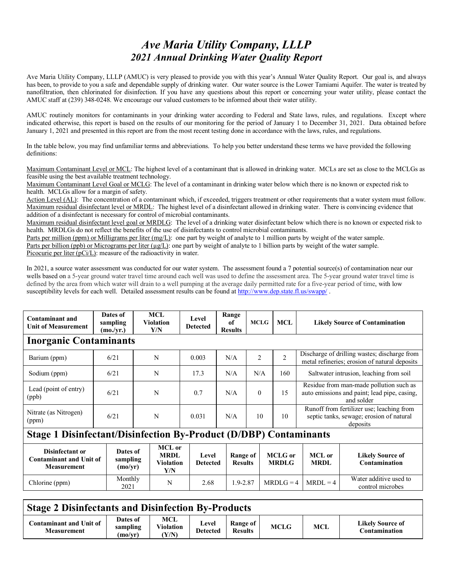## *Ave Maria Utility Company, LLLP 2021 Annual Drinking Water Quality Report*

Ave Maria Utility Company, LLLP (AMUC) is very pleased to provide you with this year's Annual Water Quality Report. Our goal is, and always has been, to provide to you a safe and dependable supply of drinking water. Our water source is the Lower Tamiami Aquifer. The water is treated by nanofiltration, then chlorinated for disinfection. If you have any questions about this report or concerning your water utility, please contact the AMUC staff at (239) 348-0248. We encourage our valued customers to be informed about their water utility.

AMUC routinely monitors for contaminants in your drinking water according to Federal and State laws, rules, and regulations. Except where indicated otherwise, this report is based on the results of our monitoring for the period of January 1 to December 31, 2021. Data obtained before January 1, 2021 and presented in this report are from the most recent testing done in accordance with the laws, rules, and regulations.

In the table below, you may find unfamiliar terms and abbreviations. To help you better understand these terms we have provided the following definitions:

Maximum Contaminant Level or MCL: The highest level of a contaminant that is allowed in drinking water. MCLs are set as close to the MCLGs as feasible using the best available treatment technology.

Maximum Contaminant Level Goal or MCLG: The level of a contaminant in drinking water below which there is no known or expected risk to health. MCLGs allow for a margin of safety.

Action Level (AL): The concentration of a contaminant which, if exceeded, triggers treatment or other requirements that a water system must follow. Maximum residual disinfectant level or MRDL: The highest level of a disinfectant allowed in drinking water. There is convincing evidence that addition of a disinfectant is necessary for control of microbial contaminants.

Maximum residual disinfectant level goal or MRDLG: The level of a drinking water disinfectant below which there is no known or expected risk to health. MRDLGs do not reflect the benefits of the use of disinfectants to control microbial contaminants.

Parts per million (ppm) or Milligrams per liter (mg/L): one part by weight of analyte to 1 million parts by weight of the water sample. Parts per billion (ppb) or Micrograms per liter  $(\mu g/L)$ : one part by weight of analyte to 1 billion parts by weight of the water sample. Picocurie per liter (pCi/L): measure of the radioactivity in water.

In 2021, a source water assessment was conducted for our water system. The assessment found a 7 potential source(s) of contamination near our wells based on a 5-year ground water travel time around each well was used to define the assessment area. The 5-year ground water travel time is defined by the area from which water will drain to a well pumping at the average daily permitted rate for a five-year period of time, with low susceptibility levels for each well. Detailed assessment results can be found a[t http://www.dep.state.fl.us/swapp/](http://www.dep.state.fl.us/swapp/)

| <b>Contaminant and</b><br><b>Unit of Measurement</b>                     | Dates of<br>sampling<br>(mo./yr.) | MCL<br><b>Violation</b><br>Y/N                   | Level<br><b>Detected</b> | Range<br>of<br><b>Results</b>     | <b>MCLG</b>    | <b>MCL</b>              |                       | <b>Likely Source of Contamination</b>                                                                 |  |  |  |
|--------------------------------------------------------------------------|-----------------------------------|--------------------------------------------------|--------------------------|-----------------------------------|----------------|-------------------------|-----------------------|-------------------------------------------------------------------------------------------------------|--|--|--|
| <b>Inorganic Contaminants</b>                                            |                                   |                                                  |                          |                                   |                |                         |                       |                                                                                                       |  |  |  |
| Barium (ppm)                                                             | 6/21                              | N                                                | 0.003                    | N/A                               | $\overline{2}$ | $\overline{2}$          |                       | Discharge of drilling wastes; discharge from<br>metal refineries; erosion of natural deposits         |  |  |  |
| Sodium (ppm)                                                             | 6/21                              | N                                                | 17.3                     | N/A                               | N/A            | 160                     |                       | Saltwater intrusion, leaching from soil                                                               |  |  |  |
| Lead (point of entry)<br>(ppb)                                           | 6/21                              | N                                                | 0.7                      | N/A                               | $\theta$       | 15                      |                       | Residue from man-made pollution such as<br>auto emissions and paint; lead pipe, casing,<br>and solder |  |  |  |
| Nitrate (as Nitrogen)<br>(ppm)                                           | 6/21                              | N                                                | 0.031                    | N/A                               | 10             | 10                      |                       | Runoff from fertilizer use; leaching from<br>septic tanks, sewage; erosion of natural<br>deposits     |  |  |  |
| <b>Stage 1 Disinfectant/Disinfection By-Product (D/DBP) Contaminants</b> |                                   |                                                  |                          |                                   |                |                         |                       |                                                                                                       |  |  |  |
| Disinfectant or<br><b>Contaminant and Unit of</b><br><b>Measurement</b>  | Dates of<br>sampling<br>(mo/yr)   | MCL or<br><b>MRDL</b><br><b>Violation</b><br>Y/N | Level<br><b>Detected</b> | <b>Range of</b><br><b>Results</b> |                | MCLG or<br><b>MRDLG</b> | MCL or<br><b>MRDL</b> | <b>Likely Source of</b><br>Contamination                                                              |  |  |  |
| Chlorine (ppm)                                                           | Monthly<br>2021                   | N                                                | 2.68                     | 1.9-2.87                          |                | $MRDLG = 4$             | $MRDL = 4$            | Water additive used to<br>control microbes                                                            |  |  |  |

## **Stage 2 Disinfectants and Disinfection By-Products**

| Contaminant and Unit of<br>Measurement | Dates of<br>sampling<br>(mo/vr) | MCL<br>Violation<br>Y/N | Level<br><b>Detected</b> | Range of<br><b>Results</b> | <b>MCLG</b> | <b>MCL</b> | Likelv Source of<br>Contamination |
|----------------------------------------|---------------------------------|-------------------------|--------------------------|----------------------------|-------------|------------|-----------------------------------|
|----------------------------------------|---------------------------------|-------------------------|--------------------------|----------------------------|-------------|------------|-----------------------------------|